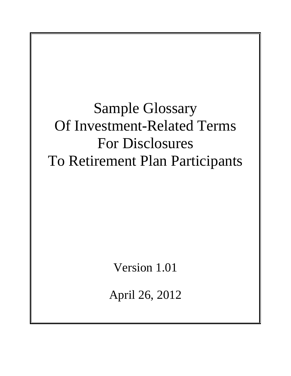Sample Glossary Of Investment-Related Terms For Disclosures To Retirement Plan Participants

Version 1.01

April 26, 2012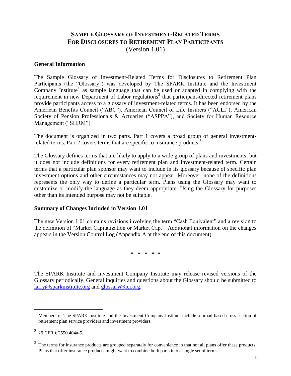## **SAMPLE GLOSSARY OF INVESTMENT-RELATED TERMS FOR DISCLOSURES TO RETIREMENT PLAN PARTICIPANTS** (Version 1.01)

#### **General Information**

The Sample Glossary of Investment-Related Terms for Disclosures to Retirement Plan Participants (the "Glossary") was developed by The SPARK Institute and the Investment Company Institute<sup>1</sup> as sample language that can be used or adapted in complying with the requirement in new Department of Labor regulations<sup>2</sup> that participant-directed retirement plans provide participants access to a glossary of investment-related terms. It has been endorsed by the American Benefits Council ("ABC"), American Council of Life Insurers ("ACLI"), American Society of Pension Professionals & Actuaries ("ASPPA"), and Society for Human Resource Management ("SHRM").

The document is organized in two parts. Part 1 covers a broad group of general investmentrelated terms. Part 2 covers terms that are specific to insurance products.<sup>3</sup>

The Glossary defines terms that are likely to apply to a wide group of plans and investments, but it does not include definitions for every retirement plan and investment-related term. Certain terms that a particular plan sponsor may want to include in its glossary because of specific plan investment options and other circumstances may not appear. Moreover, none of the definitions represents the only way to define a particular term. Plans using the Glossary may want to customize or modify the language as they deem appropriate. Using the Glossary for purposes other than its intended purpose may not be suitable.

#### **Summary of Changes Included in Version 1.01**

The new Version 1.01 contains revisions involving the term "Cash Equivalent" and a revision to the definition of "Market Capitalization or Market Cap." Additional information on the changes appears in the Version Control Log (Appendix A at the end of this document).

**\* \* \* \* \***

The SPARK Institute and Investment Company Institute may release revised versions of the Glossary periodically. General inquiries and questions about the Glossary should be submitted to [larry@sparkinstitute.org](mailto:larry@sparkinstitute.org) and [glossary@ici.org.](mailto:podesta@ici.org)

<sup>1</sup> Members of The SPARK Institute and the Investment Company Institute include a broad based cross section of retirement plan service providers and investment providers.

 $^{2}$  29 CFR § 2550.404a-5.

 $3\text{ }$  The terms for insurance products are grouped separately for convenience in that not all plans offer these products. Plans that offer insurance products might want to combine both parts into a single set of terms.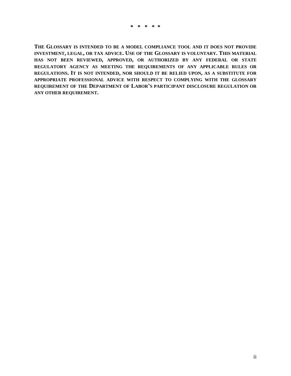**THE GLOSSARY IS INTENDED TO BE A MODEL COMPLIANCE TOOL AND IT DOES NOT PROVIDE INVESTMENT, LEGAL, OR TAX ADVICE. USE OF THE GLOSSARY IS VOLUNTARY. THIS MATERIAL HAS NOT BEEN REVIEWED, APPROVED, OR AUTHORIZED BY ANY FEDERAL OR STATE REGULATORY AGENCY AS MEETING THE REQUIREMENTS OF ANY APPLICABLE RULES OR REGULATIONS. IT IS NOT INTENDED, NOR SHOULD IT BE RELIED UPON, AS A SUBSTITUTE FOR APPROPRIATE PROFESSIONAL ADVICE WITH RESPECT TO COMPLYING WITH THE GLOSSARY REQUIREMENT OF THE DEPARTMENT OF LABOR'S PARTICIPANT DISCLOSURE REGULATION OR ANY OTHER REQUIREMENT.**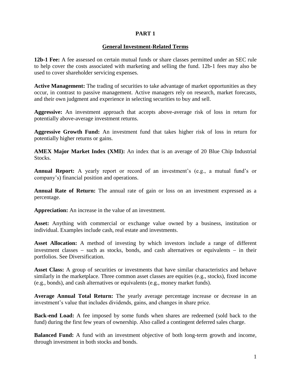#### **PART 1**

#### **General Investment-Related Terms**

**12b-1 Fee:** A fee assessed on certain mutual funds or share classes permitted under an SEC rule to help cover the costs associated with marketing and selling the fund. 12b-1 fees may also be used to cover shareholder servicing expenses.

**Active Management:** The trading of securities to take advantage of market opportunities as they occur, in contrast to passive management. Active managers rely on research, market forecasts, and their own judgment and experience in selecting securities to buy and sell.

**Aggressive:** An investment approach that accepts above-average risk of loss in return for potentially above-average investment returns.

**Aggressive Growth Fund:** An investment fund that takes higher risk of loss in return for potentially higher returns or gains.

**AMEX Major Market Index (XMI):** An index that is an average of 20 Blue Chip Industrial Stocks.

**Annual Report:** A yearly report or record of an investment's (e.g., a mutual fund's or company's) financial position and operations.

**Annual Rate of Return:** The annual rate of gain or loss on an investment expressed as a percentage.

**Appreciation:** An increase in the value of an investment.

**Asset:** Anything with commercial or exchange value owned by a business, institution or individual. Examples include cash, real estate and investments.

**Asset Allocation:** A method of investing by which investors include a range of different investment classes  $-$  such as stocks, bonds, and cash alternatives or equivalents  $-$  in their portfolios. See Diversification.

**Asset Class:** A group of securities or investments that have similar characteristics and behave similarly in the marketplace. Three common asset classes are equities (e.g., stocks), fixed income (e.g., bonds), and cash alternatives or equivalents (e.g., money market funds).

**Average Annual Total Return:** The yearly average percentage increase or decrease in an investment's value that includes dividends, gains, and changes in share price.

**Back-end Load:** A fee imposed by some funds when shares are redeemed (sold back to the fund) during the first few years of ownership. Also called a contingent deferred sales charge.

**Balanced Fund:** A fund with an investment objective of both long-term growth and income, through investment in both stocks and bonds.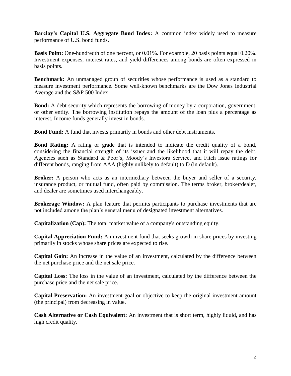**Barclay's Capital U.S. Aggregate Bond Index:** A common index widely used to measure performance of U.S. bond funds.

**Basis Point:** One-hundredth of one percent, or 0.01%. For example, 20 basis points equal 0.20%. Investment expenses, interest rates, and yield differences among bonds are often expressed in basis points.

**Benchmark:** An unmanaged group of securities whose performance is used as a standard to measure investment performance. Some well-known benchmarks are the Dow Jones Industrial Average and the S&P 500 Index.

**Bond:** A debt security which represents the borrowing of money by a corporation, government, or other entity. The borrowing institution repays the amount of the loan plus a percentage as interest. Income funds generally invest in bonds.

**Bond Fund:** A fund that invests primarily in bonds and other debt instruments.

**Bond Rating:** A rating or grade that is intended to indicate the credit quality of a bond, considering the financial strength of its issuer and the likelihood that it will repay the debt. Agencies such as Standard & Poor's, Moody's Investors Service, and Fitch issue ratings for different bonds, ranging from AAA (highly unlikely to default) to D (in default).

**Broker:** A person who acts as an intermediary between the buyer and seller of a security, insurance product, or mutual fund, often paid by commission. The terms broker, broker/dealer, and dealer are sometimes used interchangeably.

**Brokerage Window:** A plan feature that permits participants to purchase investments that are not included among the plan's general menu of designated investment alternatives.

**Capitalization (Cap**)**:** The total market value of a company's outstanding equity.

**Capital Appreciation Fund:** An investment fund that seeks growth in share prices by investing primarily in stocks whose share prices are expected to rise.

**Capital Gain:** An increase in the value of an investment, calculated by the difference between the net purchase price and the net sale price.

**Capital Loss:** The loss in the value of an investment, calculated by the difference between the purchase price and the net sale price.

**Capital Preservation:** An investment goal or objective to keep the original investment amount (the principal) from decreasing in value.

**Cash Alternative or Cash Equivalent:** An investment that is short term, highly liquid, and has high credit quality.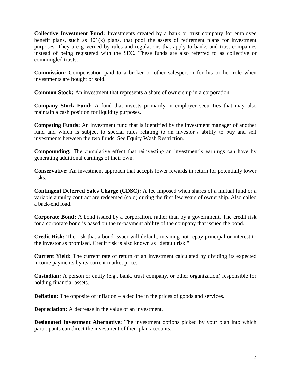**Collective Investment Fund:** Investments created by a bank or trust company for employee benefit plans, such as 401(k) plans, that pool the assets of retirement plans for investment purposes. They are governed by rules and regulations that apply to banks and trust companies instead of being registered with the SEC. These funds are also referred to as collective or commingled trusts.

**Commission:** Compensation paid to a broker or other salesperson for his or her role when investments are bought or sold.

**Common Stock:** An investment that represents a share of ownership in a corporation.

**Company Stock Fund:** A fund that invests primarily in employer securities that may also maintain a cash position for liquidity purposes.

**Competing Funds:** An investment fund that is identified by the investment manager of another fund and which is subject to special rules relating to an investor's ability to buy and sell investments between the two funds. See Equity Wash Restriction.

**Compounding:** The cumulative effect that reinvesting an investment's earnings can have by generating additional earnings of their own.

**Conservative:** An investment approach that accepts lower rewards in return for potentially lower risks.

**Contingent Deferred Sales Charge (CDSC):** A fee imposed when shares of a mutual fund or a variable annuity contract are redeemed (sold) during the first few years of ownership. Also called a back-end load.

**Corporate Bond:** A bond issued by a corporation, rather than by a government. The credit risk for a corporate bond is based on the re-payment ability of the company that issued the bond.

**Credit Risk:** The risk that a bond issuer will default, meaning not repay principal or interest to the investor as promised. Credit risk is also known as "default risk."

**Current Yield:** The current rate of return of an investment calculated by dividing its expected income payments by its current market price.

**Custodian:** A person or entity (e.g., bank, trust company, or other organization) responsible for holding financial assets.

**Deflation:** The opposite of inflation – a decline in the prices of goods and services.

**Depreciation:** A decrease in the value of an investment.

**Designated Investment Alternative:** The investment options picked by your plan into which participants can direct the investment of their plan accounts.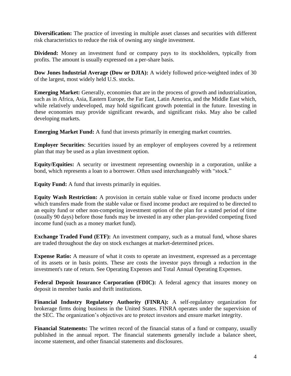**Diversification:** The practice of investing in multiple asset classes and securities with different risk characteristics to reduce the risk of owning any single investment.

**Dividend:** Money an investment fund or company pays to its stockholders, typically from profits. The amount is usually expressed on a per-share basis.

**Dow Jones Industrial Average (Dow or DJIA):** A widely followed price-weighted index of 30 of the largest, most widely held U.S. stocks.

**Emerging Market:** Generally, economies that are in the process of growth and industrialization, such as in Africa, Asia, Eastern Europe, the Far East, Latin America, and the Middle East which, while relatively undeveloped, may hold significant growth potential in the future. Investing in these economies may provide significant rewards, and significant risks. May also be called developing markets.

**Emerging Market Fund:** A fund that invests primarily in emerging market countries.

**Employer Securities**: Securities issued by an employer of employees covered by a retirement plan that may be used as a plan investment option.

**Equity/Equities:** A security or investment representing ownership in a corporation, unlike a bond, which represents a loan to a borrower. Often used interchangeably with "stock."

**Equity Fund:** A fund that invests primarily in equities.

**Equity Wash Restriction:** A provision in certain stable value or fixed income products under which transfers made from the stable value or fixed income product are required to be directed to an equity fund or other non-competing investment option of the plan for a stated period of time (usually 90 days) before those funds may be invested in any other plan-provided competing fixed income fund (such as a money market fund).

**Exchange Traded Fund (ETF):** An investment company, such as a mutual fund, whose shares are traded throughout the day on stock exchanges at market-determined prices.

**Expense Ratio:** A measure of what it costs to operate an investment, expressed as a percentage of its assets or in basis points. These are costs the investor pays through a reduction in the investment's rate of return. See Operating Expenses and Total Annual Operating Expenses.

**Federal Deposit Insurance Corporation (FDIC):** A federal agency that insures money on deposit in member banks and thrift institutions.

**Financial Industry Regulatory Authority (FINRA):** A self-regulatory organization for brokerage firms doing business in the United States. FINRA operates under the supervision of the SEC. The organization's objectives are to protect investors and ensure market integrity.

**Financial Statements:** The written record of the financial status of a fund or company, usually published in the annual report. The financial statements generally include a balance sheet, income statement, and other financial statements and disclosures.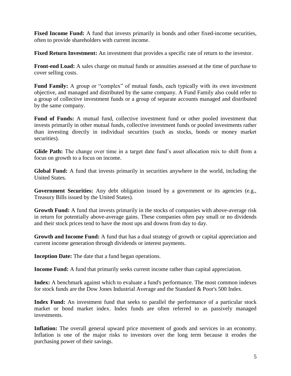**Fixed Income Fund:** A fund that invests primarily in bonds and other fixed-income securities, often to provide shareholders with current income.

**Fixed Return Investment:** An investment that provides a specific rate of return to the investor.

**Front-end Load:** A sales charge on mutual funds or annuities assessed at the time of purchase to cover selling costs.

**Fund Family:** A group or "complex" of mutual funds, each typically with its own investment objective, and managed and distributed by the same company. A Fund Family also could refer to a group of collective investment funds or a group of separate accounts managed and distributed by the same company.

**Fund of Funds:** A mutual fund, collective investment fund or other pooled investment that invests primarily in other mutual funds, collective investment funds or pooled investments rather than investing directly in individual securities (such as stocks, bonds or money market securities).

**Glide Path:** The change over time in a target date fund's asset allocation mix to shift from a focus on growth to a focus on income.

**Global Fund:** A fund that invests primarily in securities anywhere in the world, including the United States.

Government Securities: Any debt obligation issued by a government or its agencies (e.g., Treasury Bills issued by the United States).

**Growth Fund:** A fund that invests primarily in the stocks of companies with above-average risk in return for potentially above-average gains. These companies often pay small or no dividends and their stock prices tend to have the most ups and downs from day to day.

**Growth and Income Fund:** A fund that has a dual strategy of growth or capital appreciation and current income generation through dividends or interest payments.

**Inception Date:** The date that a fund began operations.

**Income Fund:** A fund that primarily seeks current income rather than capital appreciation.

**Index:** A benchmark against which to evaluate a fund's performance. The most common indexes for stock funds are the Dow Jones Industrial Average and the Standard & Poor's 500 Index.

**Index Fund:** An investment fund that seeks to parallel the performance of a particular stock market or bond market index. Index funds are often referred to as passively managed investments.

**Inflation:** The overall general upward price movement of goods and services in an economy. Inflation is one of the major risks to investors over the long term because it erodes the purchasing power of their savings.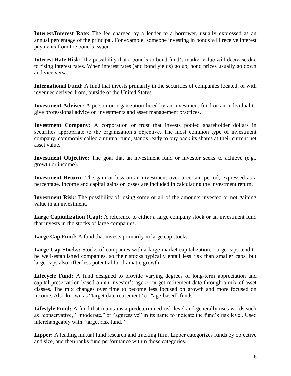**Interest/Interest Rate:** The fee charged by a lender to a borrower, usually expressed as an annual percentage of the principal. For example, someone investing in bonds will receive interest payments from the bond's issuer.

**Interest Rate Risk:** The possibility that a bond's or bond fund's market value will decrease due to rising interest rates. When interest rates (and bond yields) go up, bond prices usually go down and vice versa.

**International Fund:** A fund that invests primarily in the securities of companies located, or with revenues derived from, outside of the United States.

**Investment Adviser:** A person or organization hired by an investment fund or an individual to give professional advice on investments and asset management practices.

**Investment Company:** A corporation or trust that invests pooled shareholder dollars in securities appropriate to the organization's objective. The most common type of investment company, commonly called a mutual fund, stands ready to buy back its shares at their current net asset value.

**Investment Objective:** The goal that an investment fund or investor seeks to achieve (e.g., growth or income).

**Investment Return:** The gain or loss on an investment over a certain period, expressed as a percentage. Income and capital gains or losses are included in calculating the investment return.

**Investment Risk**: The possibility of losing some or all of the amounts invested or not gaining value in an investment.

Large Capitalization (Cap): A reference to either a large company stock or an investment fund that invests in the stocks of large companies.

**Large Cap Fund:** A fund that invests primarily in large cap stocks.

Large Cap Stocks: Stocks of companies with a large market capitalization. Large caps tend to be well-established companies, so their stocks typically entail less risk than smaller caps, but large-caps also offer less potential for dramatic growth.

**Lifecycle Fund:** A fund designed to provide varying degrees of long-term appreciation and capital preservation based on an investor's age or target retirement date through a mix of asset classes. The mix changes over time to become less focused on growth and more focused on income. Also known as "target date retirement" or "age-based" funds.

**Lifestyle Fund:** A fund that maintains a predetermined risk level and generally uses words such as "conservative," "moderate," or "aggressive" in its name to indicate the fund's risk level. Used interchangeably with "target risk fund."

**Lipper:** A leading mutual fund research and tracking firm. Lipper categorizes funds by objective and size, and then ranks fund performance within those categories.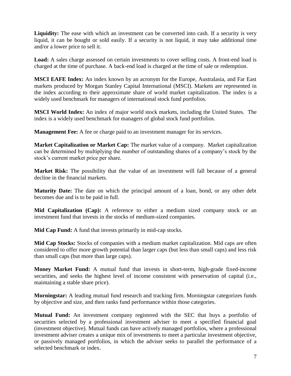**Liquidity:** The ease with which an investment can be converted into cash. If a security is very liquid, it can be bought or sold easily. If a security is not liquid, it may take additional time and/or a lower price to sell it.

**Load:** A sales charge assessed on certain investments to cover selling costs. A front-end load is charged at the time of purchase. A back-end load is charged at the time of sale or redemption.

**MSCI EAFE Index:** An index known by an acronym for the Europe, Australasia, and Far East markets produced by Morgan Stanley Capital International (MSCI). Markets are represented in the index according to their approximate share of world market capitalization. The index is a widely used benchmark for managers of international stock fund portfolios.

**MSCI World Index:** An index of major world stock markets, including the United States. The index is a widely used benchmark for managers of global stock fund portfolios.

**Management Fee:** A fee or charge paid to an investment manager for its services.

**Market Capitalization or Market Cap:** The market value of a company. Market capitalization can be determined by multiplying the number of outstanding shares of a company's stock by the stock's current market price per share.

**Market Risk:** The possibility that the value of an investment will fall because of a general decline in the financial markets.

**Maturity Date:** The date on which the principal amount of a loan, bond, or any other debt becomes due and is to be paid in full.

**Mid Capitalization (Cap):** A reference to either a medium sized company stock or an investment fund that invests in the stocks of medium-sized companies.

**Mid Cap Fund:** A fund that invests primarily in mid-cap stocks.

**Mid Cap Stocks:** Stocks of companies with a medium market capitalization. Mid caps are often considered to offer more growth potential than larger caps (but less than small caps) and less risk than small caps (but more than large caps).

**Money Market Fund:** A mutual fund that invests in short-term, high-grade fixed-income securities, and seeks the highest level of income consistent with preservation of capital (i.e., maintaining a stable share price).

**Morningstar:** A leading mutual fund research and tracking firm. Morningstar categorizes funds by objective and size, and then ranks fund performance within those categories.

**Mutual Fund:** An investment company registered with the SEC that buys a portfolio of securities selected by a professional investment adviser to meet a specified financial goal (investment objective). Mutual funds can have actively managed portfolios, where a professional investment adviser creates a unique mix of investments to meet a particular investment objective, or passively managed portfolios, in which the adviser seeks to parallel the performance of a selected benchmark or index.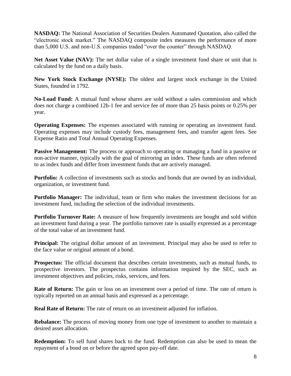**NASDAQ:** The National Association of Securities Dealers Automated Quotation, also called the "electronic stock market." The NASDAQ composite index measures the performance of more than 5,000 U.S. and non-U.S. companies traded "over the counter" through NASDAQ.

Net Asset Value (NAV): The net dollar value of a single investment fund share or unit that is calculated by the fund on a daily basis.

**New York Stock Exchange (NYSE):** The oldest and largest stock exchange in the United States, founded in 1792.

**No-Load Fund:** A mutual fund whose shares are sold without a sales commission and which does not charge a combined 12b-1 fee and service fee of more than 25 basis points or 0.25% per year.

**Operating Expenses:** The expenses associated with running or operating an investment fund. Operating expenses may include custody fees, management fees, and transfer agent fees. See Expense Ratio and Total Annual Operating Expenses.

**Passive Management:** The process or approach to operating or managing a fund in a passive or non-active manner, typically with the goal of mirroring an index. These funds are often referred to as index funds and differ from investment funds that are actively managed.

**Portfolio:** A collection of investments such as stocks and bonds that are owned by an individual, organization, or investment fund.

**Portfolio Manager:** The individual, team or firm who makes the investment decisions for an investment fund, including the selection of the individual investments.

**Portfolio Turnover Rate:** A measure of how frequently investments are bought and sold within an investment fund during a year. The portfolio turnover rate is usually expressed as a percentage of the total value of an investment fund.

**Principal:** The original dollar amount of an investment. Principal may also be used to refer to the face value or original amount of a bond.

**Prospectus:** The official document that describes certain investments, such as mutual funds, to prospective investors. The prospectus contains information required by the SEC, such as investment objectives and policies, risks, services, and fees.

**Rate of Return:** The gain or loss on an investment over a period of time. The rate of return is typically reported on an annual basis and expressed as a percentage.

**Real Rate of Return:** The rate of return on an investment adjusted for inflation.

**Rebalance:** The process of moving money from one type of investment to another to maintain a desired asset allocation.

**Redemption:** To sell fund shares back to the fund. Redemption can also be used to mean the repayment of a bond on or before the agreed upon pay-off date.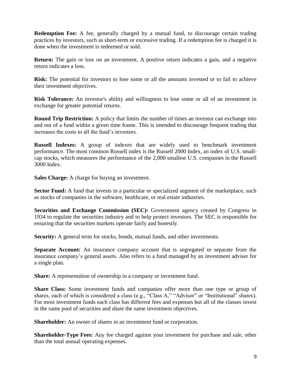**Redemption Fee:** A fee, generally charged by a mutual fund, to discourage certain trading practices by investors, such as short-term or excessive trading. If a redemption fee is charged it is done when the investment is redeemed or sold.

**Return:** The gain or loss on an investment. A positive return indicates a gain, and a negative return indicates a loss.

**Risk:** The potential for investors to lose some or all the amounts invested or to fail to achieve their investment objectives.

**Risk Tolerance:** An investor's ability and willingness to lose some or all of an investment in exchange for greater potential returns.

**Round Trip Restriction:** A policy that limits the number of times an investor can exchange into and out of a fund within a given time frame. This is intended to discourage frequent trading that increases the costs to all the fund's investors.

**Russell Indexes:** A group of indexes that are widely used to benchmark investment performance. The most common Russell index is the Russell 2000 Index, an index of U.S. smallcap stocks, which measures the performance of the 2,000 smallest U.S. companies in the Russell 3000 Index.

**Sales Charge:** A charge for buying an investment.

**Sector Fund:** A fund that invests in a particular or specialized segment of the marketplace, such as stocks of companies in the software, healthcare, or real estate industries.

**Securities and Exchange Commission (SEC):** Government agency created by Congress in 1934 to regulate the securities industry and to help protect investors. The SEC is responsible for ensuring that the securities markets operate fairly and honestly.

**Security:** A general term for stocks, bonds, mutual funds, and other investments.

**Separate Account:** An insurance company account that is segregated or separate from the insurance company's general assets. Also refers to a fund managed by an investment adviser for a single plan.

**Share:** A representation of ownership in a company or investment fund.

**Share Class:** Some investment funds and companies offer more than one type or group of shares, each of which is considered a class (e.g., "Class A," "Advisor" or "Institutional" shares). For most investment funds each class has different fees and expenses but all of the classes invest in the same pool of securities and share the same investment objectives.

**Shareholder:** An owner of shares in an investment fund or corporation.

**Shareholder-Type Fees:** Any fee charged against your investment for purchase and sale, other than the total annual operating expenses.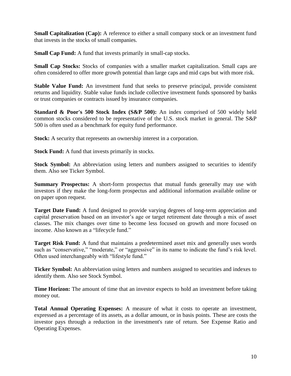**Small Capitalization (Cap):** A reference to either a small company stock or an investment fund that invests in the stocks of small companies.

**Small Cap Fund:** A fund that invests primarily in small-cap stocks.

**Small Cap Stocks:** Stocks of companies with a smaller market capitalization. Small caps are often considered to offer more growth potential than large caps and mid caps but with more risk.

**Stable Value Fund:** An investment fund that seeks to preserve principal, provide consistent returns and liquidity. Stable value funds include collective investment funds sponsored by banks or trust companies or contracts issued by insurance companies.

**Standard & Poor's 500 Stock Index (S&P 500):** An index comprised of 500 widely held common stocks considered to be representative of the U.S. stock market in general. The S&P 500 is often used as a benchmark for equity fund performance.

**Stock:** A security that represents an ownership interest in a corporation.

**Stock Fund:** A fund that invests primarily in stocks.

**Stock Symbol:** An abbreviation using letters and numbers assigned to securities to identify them. Also see Ticker Symbol.

**Summary Prospectus:** A short-form prospectus that mutual funds generally may use with investors if they make the long-form prospectus and additional information available online or on paper upon request.

**Target Date Fund:** A fund designed to provide varying degrees of long-term appreciation and capital preservation based on an investor's age or target retirement date through a mix of asset classes. The mix changes over time to become less focused on growth and more focused on income. Also known as a "lifecycle fund."

**Target Risk Fund:** A fund that maintains a predetermined asset mix and generally uses words such as "conservative," "moderate," or "aggressive" in its name to indicate the fund's risk level. Often used interchangeably with "lifestyle fund."

**Ticker Symbol:** An abbreviation using letters and numbers assigned to securities and indexes to identify them. Also see Stock Symbol.

**Time Horizon:** The amount of time that an investor expects to hold an investment before taking money out.

**Total Annual Operating Expenses:** A measure of what it costs to operate an investment, expressed as a percentage of its assets, as a dollar amount, or in basis points. These are costs the investor pays through a reduction in the investment's rate of return. See Expense Ratio and Operating Expenses.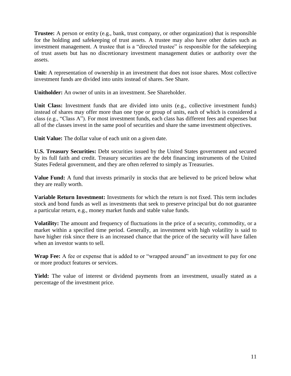**Trustee:** A person or entity (e.g., bank, trust company, or other organization) that is responsible for the holding and safekeeping of trust assets. A trustee may also have other duties such as investment management. A trustee that is a "directed trustee" is responsible for the safekeeping of trust assets but has no discretionary investment management duties or authority over the assets.

**Unit:** A representation of ownership in an investment that does not issue shares. Most collective investment funds are divided into units instead of shares. See Share.

**Unitholder:** An owner of units in an investment. See Shareholder.

Unit Class: Investment funds that are divided into units (e.g., collective investment funds) instead of shares may offer more than one type or group of units, each of which is considered a class (e.g., "Class A"). For most investment funds, each class has different fees and expenses but all of the classes invest in the same pool of securities and share the same investment objectives.

**Unit Value:** The dollar value of each unit on a given date.

**U.S. Treasury Securities:** Debt securities issued by the United States government and secured by its full faith and credit. Treasury securities are the debt financing instruments of the United States Federal government, and they are often referred to simply as Treasuries.

**Value Fund:** A fund that invests primarily in stocks that are believed to be priced below what they are really worth.

**Variable Return Investment:** Investments for which the return is not fixed. This term includes stock and bond funds as well as investments that seek to preserve principal but do not guarantee a particular return, e.g., money market funds and stable value funds.

**Volatility:** The amount and frequency of fluctuations in the price of a security, commodity, or a market within a specified time period. Generally, an investment with high volatility is said to have higher risk since there is an increased chance that the price of the security will have fallen when an investor wants to sell.

**Wrap Fee:** A fee or expense that is added to or "wrapped around" an investment to pay for one or more product features or services.

**Yield:** The value of interest or dividend payments from an investment, usually stated as a percentage of the investment price.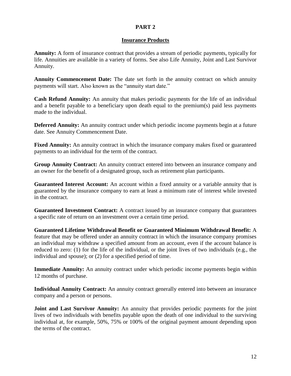#### **PART 2**

#### **Insurance Products**

**Annuity:** A form of insurance contract that provides a stream of periodic payments, typically for life. Annuities are available in a variety of forms. See also Life Annuity, Joint and Last Survivor Annuity.

**Annuity Commencement Date:** The date set forth in the annuity contract on which annuity payments will start. Also known as the "annuity start date."

**Cash Refund Annuity:** An annuity that makes periodic payments for the life of an individual and a benefit payable to a beneficiary upon death equal to the premium(s) paid less payments made to the individual.

**Deferred Annuity:** An annuity contract under which periodic income payments begin at a future date. See Annuity Commencement Date.

**Fixed Annuity:** An annuity contract in which the insurance company makes fixed or guaranteed payments to an individual for the term of the contract.

**Group Annuity Contract:** An annuity contract entered into between an insurance company and an owner for the benefit of a designated group, such as retirement plan participants.

**Guaranteed Interest Account:** An account within a fixed annuity or a variable annuity that is guaranteed by the insurance company to earn at least a minimum rate of interest while invested in the contract.

**Guaranteed Investment Contract:** A contract issued by an insurance company that guarantees a specific rate of return on an investment over a certain time period.

**Guaranteed Lifetime Withdrawal Benefit or Guaranteed Minimum Withdrawal Benefit:** A feature that may be offered under an annuity contract in which the insurance company promises an individual may withdraw a specified amount from an account, even if the account balance is reduced to zero: (1) for the life of the individual, or the joint lives of two individuals (e.g., the individual and spouse); or (2) for a specified period of time.

**Immediate Annuity:** An annuity contract under which periodic income payments begin within 12 months of purchase.

**Individual Annuity Contract:** An annuity contract generally entered into between an insurance company and a person or persons.

**Joint and Last Survivor Annuity:** An annuity that provides periodic payments for the joint lives of two individuals with benefits payable upon the death of one individual to the surviving individual at, for example, 50%, 75% or 100% of the original payment amount depending upon the terms of the contract.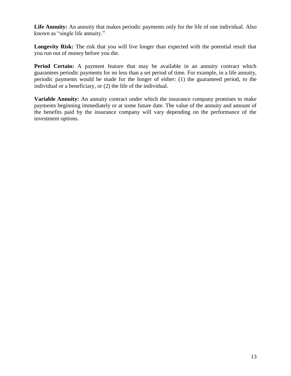**Life Annuity:** An annuity that makes periodic payments only for the life of one individual. Also known as "single life annuity."

**Longevity Risk:** The risk that you will live longer than expected with the potential result that you run out of money before you die.

**Period Certain:** A payment feature that may be available in an annuity contract which guarantees periodic payments for no less than a set period of time. For example, in a life annuity, periodic payments would be made for the longer of either: (1) the guaranteed period, to the individual or a beneficiary, or (2) the life of the individual.

**Variable Annuity:** An annuity contract under which the insurance company promises to make payments beginning immediately or at some future date. The value of the annuity and amount of the benefits paid by the insurance company will vary depending on the performance of the investment options.